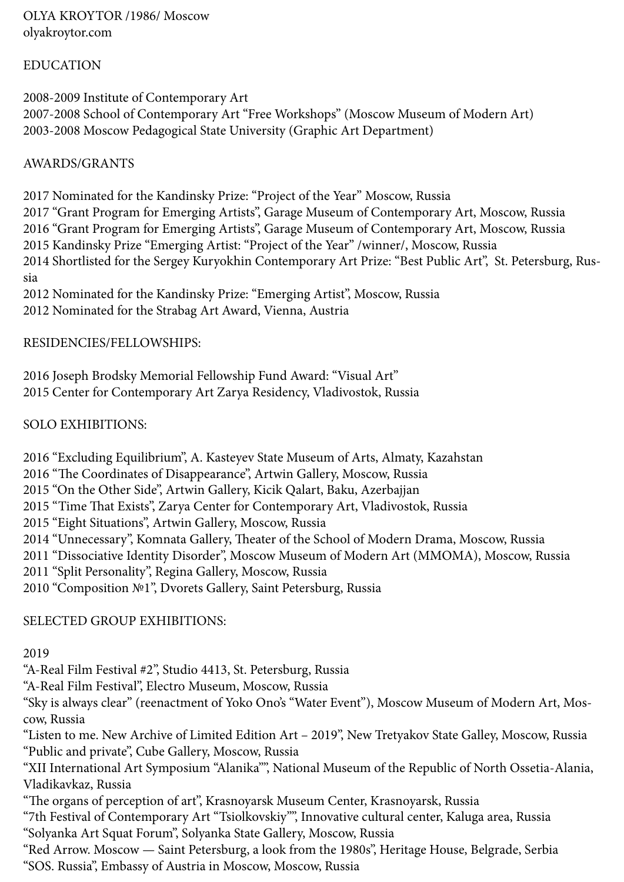OLYA KROYTOR /1986/ Moscow olyakroytor.com

## EDUCATION

2008-2009 Institute of Contemporary Art 2007-2008 School of Contemporary Art "Free Workshops" (Moscow Museum of Modern Art) 2003-2008 Moscow Pedagogical State University (Graphic Art Department)

## AWARDS/GRANTS

2017 Nominated for the Kandinsky Prize: "Project of the Year" Moscow, Russia

2017 "Grant Program for Emerging Artists", Garage Museum of Contemporary Art, Moscow, Russia 2016 "Grant Program for Emerging Artists", Garage Museum of Contemporary Art, Moscow, Russia 2015 Kandinsky Prize "Emerging Artist: "Project of the Year" /winner/, Moscow, Russia 2014 Shortlisted for the Sergey Kuryokhin Contemporary Art Prize: "Best Public Art", St. Petersburg, Russia

2012 Nominated for the Kandinsky Prize: "Emerging Artist", Moscow, Russia 2012 Nominated for the Strabag Art Award, Vienna, Austria

## RESIDENCIES/FELLOWSHIPS:

2016 Joseph Brodsky Memorial Fellowship Fund Award: "Visual Art" 2015 Center for Contemporary Art Zarya Residency, Vladivostok, Russia

## SOLO EXHIBITIONS:

2016 "Excluding Equilibrium", A. Kasteyev State Museum of Arts, Almaty, Kazahstan

2016 "The Coordinates of Disappearance", Artwin Gallery, Moscow, Russia

2015 "On the Other Side", Artwin Gallery, Kicik Qalart, Baku, Azerbajjan

2015 "Time That Exists", Zarya Center for Contemporary Art, Vladivostok, Russia

2015 "Eight Situations", Artwin Gallery, Moscow, Russia

2014 "Unnecessary", Komnata Gallery, Theater of the School of Modern Drama, Moscow, Russia

2011 "Dissociative Identity Disorder", Moscow Museum of Modern Art (MMOMA), Moscow, Russia

2011 "Split Personality", Regina Gallery, Moscow, Russia

2010 "Composition №1", Dvorets Gallery, Saint Petersburg, Russia

# SELECTED GROUP EXHIBITIONS:

## 2019

"A-Real Film Festival #2", Studio 4413, St. Petersburg, Russia

"A-Real Film Festival", Electro Museum, Moscow, Russia

"Sky is always clear" (reenactment of Yoko Ono's "Water Event"), Moscow Museum of Modern Art, Moscow, Russia

"Listen to me. New Archive of Limited Edition Art – 2019", New Tretyakov State Galley, Moscow, Russia "Public and private", Cube Gallery, Moscow, Russia

"XII International Art Symposium "Alanika"", National Museum of the Republic of North Ossetia-Alania, Vladikavkaz, Russia

"The organs of perception of art", Krasnoyarsk Museum Center, Krasnoyarsk, Russia

"7th Festival of Contemporary Art "Tsiolkovskiy"", Innovative cultural center, Kaluga area, Russia "Solyanka Art Squat Forum", Solyanka State Gallery, Moscow, Russia

"Red Arrow. Moscow — Saint Petersburg, a look from the 1980s", Heritage House, Belgrade, Serbia "SOS. Russia", Embassy of Austria in Moscow, Moscow, Russia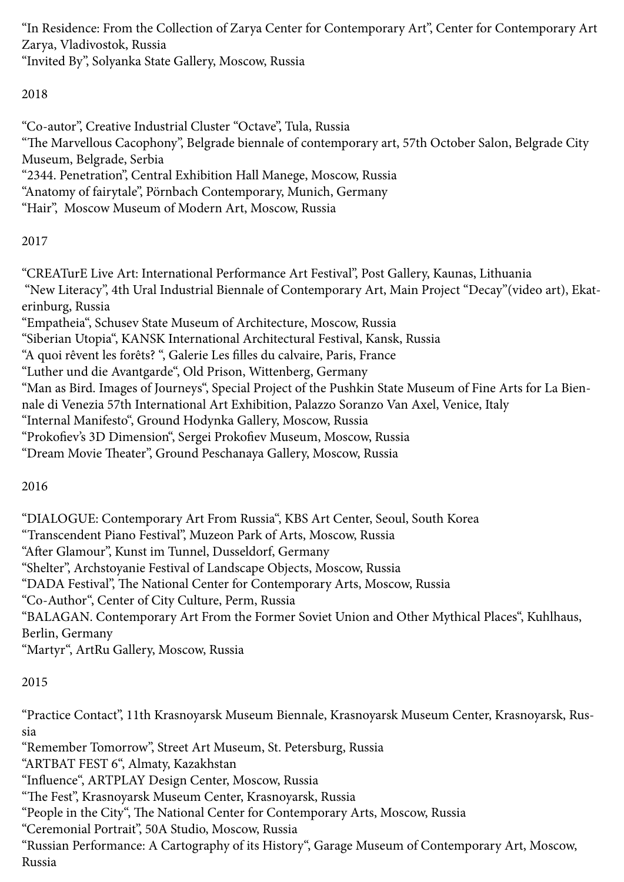"In Residence: From the Collection of Zarya Center for Contemporary Art", Center for Contemporary Art Zarya, Vladivostok, Russia "Invited By", Solyanka State Gallery, Moscow, Russia

2018

"Co-autor", Creative Industrial Cluster "Octave", Tula, Russia "The Marvellous Cacophony", Belgrade biennale of contemporary art, 57th October Salon, Belgrade City Museum, Belgrade, Serbia "2344. Penetration", Central Exhibition Hall Manege, Moscow, Russia "Anatomy of fairytale", Pörnbach Contemporary, Munich, Germany "Hair", Moscow Museum of Modern Art, Moscow, Russia

2017

"CREATurE Live Art: International Performance Art Festival", Post Gallery, Kaunas, Lithuania "New Literacy", 4th Ural Industrial Biennale of Contemporary Art, Main Project "Decay"(video art), Ekaterinburg, Russia "Empatheia", Schusev State Museum of Architecture, Moscow, Russia "Siberian Utopia", KANSK International Architectural Festival, Kansk, Russia "A quoi rêvent les forêts? ", Galerie Les filles du calvaire, Paris, France "Luther und die Avantgarde", Old Prison, Wittenberg, Germany "Man as Bird. Images of Journeys", Special Project of the Pushkin State Museum of Fine Arts for La Biennale di Venezia 57th International Art Exhibition, Palazzo Soranzo Van Axel, Venice, Italy "Internal Manifesto", Ground Hodynka Gallery, Moscow, Russia "Prokofiev's 3D Dimension", Sergei Prokofiev Museum, Moscow, Russia "Dream Movie Theater", Ground Peschanaya Gallery, Moscow, Russia

2016

"DIALOGUE: Contemporary Art From Russia", KBS Art Center, Seoul, South Korea "Transcendent Piano Festival", Muzeon Park of Arts, Moscow, Russia "After Glamour", Kunst im Tunnel, Dusseldorf, Germany "Shelter", Archstoyanie Festival of Landscape Objects, Moscow, Russia "DADA Festival", The National Center for Contemporary Arts, Moscow, Russia "Co-Author", Center of City Culture, Perm, Russia "BALAGAN. Contemporary Art From the Former Soviet Union and Other Mythical Places", Kuhlhaus, Berlin, Germany "Martyr", ArtRu Gallery, Moscow, Russia

2015

"Practice Contact", 11th Krasnoyarsk Museum Biennale, Krasnoyarsk Museum Center, Krasnoyarsk, Russia

"Remember Tomorrow", Street Art Museum, St. Petersburg, Russia

"ARTBAT FEST 6", Almaty, Kazakhstan

"Influence", ARTPLAY Design Center, Moscow, Russia

"The Fest", Krasnoyarsk Museum Center, Krasnoyarsk, Russia

"People in the City", The National Center for Contemporary Arts, Moscow, Russia

"Ceremonial Portrait", 50A Studio, Moscow, Russia

"Russian Performance: A Cartography of its History", Garage Museum of Contemporary Art, Moscow, Russia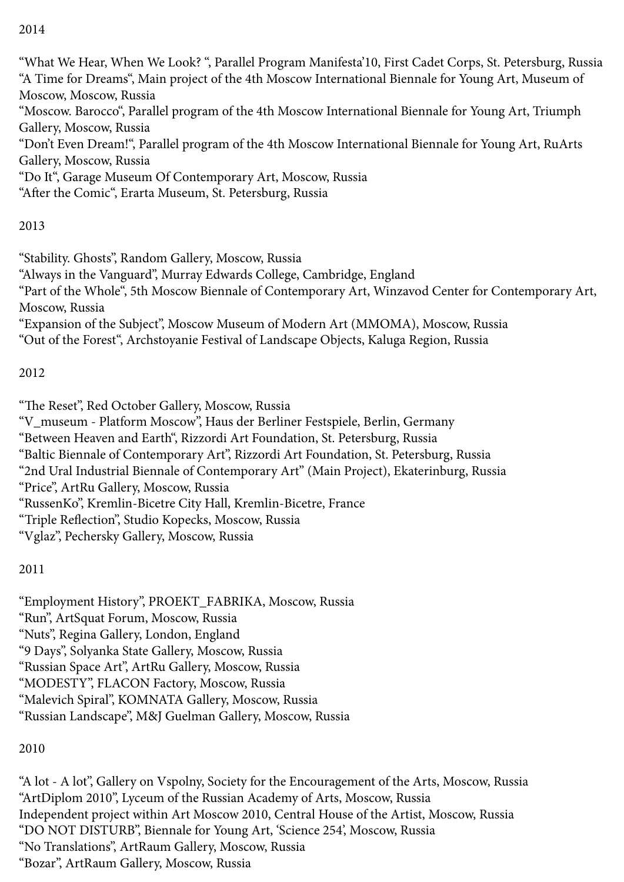## 2014

"What We Hear, When We Look? ", Parallel Program Manifesta'10, First Cadet Corps, St. Petersburg, Russia "A Time for Dreams", Main project of the 4th Moscow International Biennale for Young Art, Museum of Moscow, Moscow, Russia "Moscow. Barocco", Parallel program of the 4th Moscow International Biennale for Young Art, Triumph Gallery, Moscow, Russia "Don't Even Dream!", Parallel program of the 4th Moscow International Biennale for Young Art, RuArts Gallery, Moscow, Russia "Do It", Garage Museum Of Contemporary Art, Moscow, Russia "After the Comic", Erarta Museum, St. Petersburg, Russia

# 2013

"Stability. Ghosts", Random Gallery, Moscow, Russia "Always in the Vanguard", Murray Edwards College, Cambridge, England "Part of the Whole", 5th Moscow Biennale of Contemporary Art, Winzavod Center for Contemporary Art, Moscow, Russia "Expansion of the Subject", Moscow Museum of Modern Art (MMOMA), Moscow, Russia

"Out of the Forest", Archstoyanie Festival of Landscape Objects, Kaluga Region, Russia

## 2012

"The Reset", Red October Gallery, Moscow, Russia

"V\_museum - Platform Moscow", Haus der Berliner Festspiele, Berlin, Germany

"Between Heaven and Earth", Rizzordi Art Foundation, St. Petersburg, Russia

"Baltic Biennale of Contemporary Art", Rizzordi Art Foundation, St. Petersburg, Russia

"2nd Ural Industrial Biennale of Contemporary Art" (Main Project), Ekaterinburg, Russia

"Price", ArtRu Gallery, Moscow, Russia

"RussenKo", Kremlin-Bicetre City Hall, Kremlin-Bicetre, France

"Triple Reflection", Studio Kopecks, Moscow, Russia

"Vglaz", Pechersky Gallery, Moscow, Russia

# 2011

"Employment History", PRОЕКТ\_FАBRIКА, Moscow, Russia "Run", ArtSquat Forum, Moscow, Russia "Nuts", Regina Gallery, London, England "9 Days", Solyanka State Gallery, Moscow, Russia "Russian Space Art", ArtRu Gallery, Moscow, Russia "MODESTY", FLACON Factory, Moscow, Russia "Malevich Spiral", KOMNATA Gallery, Moscow, Russia "Russian Landscape", M&J Guelman Gallery, Moscow, Russia

# 2010

"A lot - A lot", Gallery on Vspolny, Society for the Encouragement of the Arts, Moscow, Russia "ArtDiplom 2010", Lyceum of the Russian Academy of Arts, Moscow, Russia Independent project within Art Moscow 2010, Central House of the Artist, Moscow, Russia "DO NOT DISTURB", Biennale for Young Art, 'Science 254', Moscow, Russia "No Translations", ArtRaum Gallery, Moscow, Russia "Bozar", ArtRaum Gallery, Moscow, Russia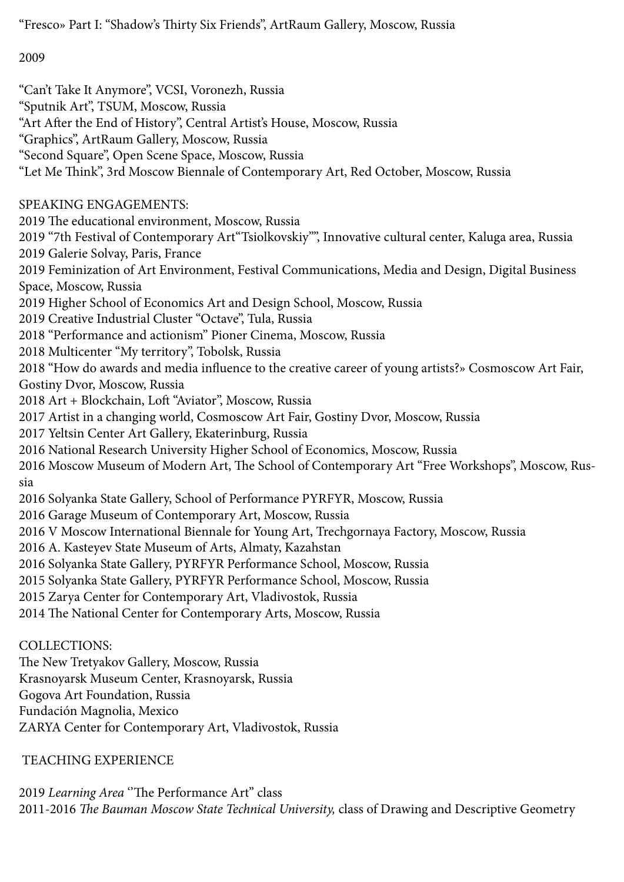"Fresco» Part I: "Shadow's Thirty Six Friends", ArtRaum Gallery, Moscow, Russia

2009

"Can't Take It Anymore", VCSI, Voronezh, Russia "Sputnik Art", TSUM, Moscow, Russia "Art After the End of History", Central Artist's House, Moscow, Russia "Graphics", ArtRaum Gallery, Moscow, Russia "Second Square", Open Scene Space, Moscow, Russia "Let Me Think", 3rd Moscow Biennale of Contemporary Art, Red October, Moscow, Russia SPEAKING ENGAGEMENTS: 2019 The educational environment, Moscow, Russia 2019 "7th Festival of Contemporary Art"Tsiolkovskiy"", Innovative cultural center, Kaluga area, Russia 2019 Galerie Solvay, Paris, France 2019 Feminization of Art Environment, Festival Communications, Media and Design, Digital Business Space, Moscow, Russia 2019 Higher School of Economics Art and Design School, Moscow, Russia 2019 Creative Industrial Cluster "Octave", Tula, Russia 2018 "Performance and actionism" Pioner Cinema, Moscow, Russia 2018 Multicenter "My territory", Tobolsk, Russia 2018 "How do awards and media influence to the creative career of young artists?» Cosmoscow Art Fair, Gostiny Dvor, Moscow, Russia 2018 Art + Blockchain, Loft "Aviator", Moscow, Russia 2017 Artist in a changing world, Cosmoscow Art Fair, Gostiny Dvor, Moscow, Russia 2017 Yeltsin Center Art Gallery, Ekaterinburg, Russia 2016 National Research University Higher School of Economics, Moscow, Russia 2016 Moscow Museum of Modern Art, The School of Contemporary Art "Free Workshops", Moscow, Russia 2016 Solyanka State Gallery, School of Performance PYRFYR, Moscow, Russia 2016 Garage Museum of Contemporary Art, Moscow, Russia 2016 V Moscow International Biennale for Young Art, Trechgornaya Factory, Moscow, Russia 2016 A. Kasteyev State Museum of Arts, Almaty, Kazahstan 2016 Solyanka State Gallery, PYRFYR Performance School, Moscow, Russia 2015 Solyanka State Gallery, PYRFYR Performance School, Moscow, Russia 2015 Zarya Center for Contemporary Art, Vladivostok, Russia 2014 The National Center for Contemporary Arts, Moscow, Russia COLLECTIONS: The New Tretyakov Gallery, Moscow, Russia Krasnoyarsk Museum Center, Krasnoyarsk, Russia

Gogova Art Foundation, Russia

Fundación Magnolia, Mexico

ZARYA Center for Contemporary Art, Vladivostok, Russia

# TEACHING EXPERIENCE

2019 *Learning Area* ''The Performance Art'' class 2011-2016 *The Bauman Moscow State Technical University,* class of Drawing and Descriptive Geometry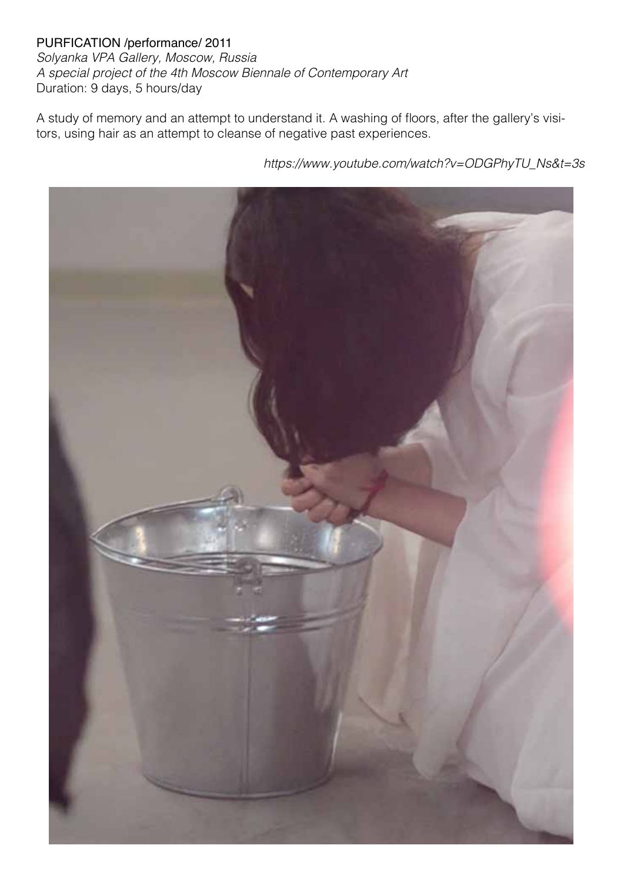PURFICATION /performance/ 2011 *Solyanka VPA Gallery, Moscow, Russia A special project of the 4th Moscow Biennale of Contemporary Art* Duration: 9 days, 5 hours/day

A study of memory and an attempt to understand it. A washing of floors, after the gallery's visitors, using hair as an attempt to cleanse of negative past experiences.

*https://www.youtube.com/watch?v=ODGPhyTU\_Ns&t=3s*

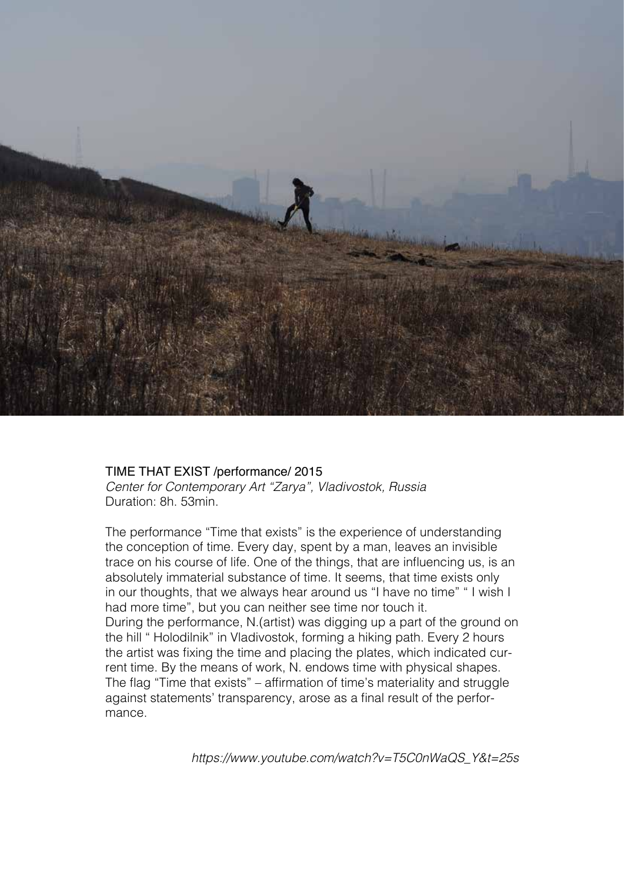

#### TIME THAT EXIST /performance/ 2015

*Center for Contemporary Art "Zarya", Vladivostok, Russia* Duration: 8h. 53min.

The performance "Time that exists" is the experience of understanding the conception of time. Every day, spent by a man, leaves an invisible trace on his course of life. One of the things, that are influencing us, is an absolutely immaterial substance of time. It seems, that time exists only in our thoughts, that we always hear around us "I have no time" " I wish I had more time", but you can neither see time nor touch it. During the performance, N.(artist) was digging up a part of the ground on the hill " Holodilnik" in Vladivostok, forming a hiking path. Every 2 hours the artist was fixing the time and placing the plates, which indicated current time. By the means of work, N. endows time with physical shapes. The flag "Time that exists" – affirmation of time's materiality and struggle against statements' transparency, arose as a final result of the performance.

*https://www.youtube.com/watch?v=T5C0nWaQS\_Y&t=25s*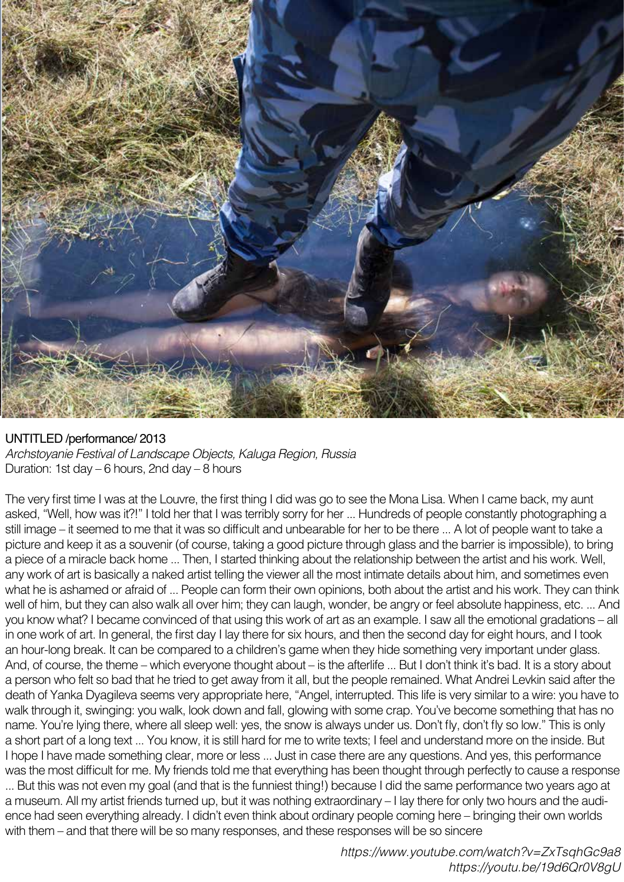

#### UNTITLED /performance/ 2013

*Archstoyanie Festival of Landscape Objects, Kaluga Region, Russia* Duration: 1st day – 6 hours, 2nd day – 8 hours

The very first time I was at the Louvre, the first thing I did was go to see the Mona Lisa. When I came back, my aunt asked, "Well, how was it?!" I told her that I was terribly sorry for her ... Hundreds of people constantly photographing a still image – it seemed to me that it was so difficult and unbearable for her to be there ... A lot of people want to take a picture and keep it as a souvenir (of course, taking a good picture through glass and the barrier is impossible), to bring a piece of a miracle back home ... Then, I started thinking about the relationship between the artist and his work. Well, any work of art is basically a naked artist telling the viewer all the most intimate details about him, and sometimes even what he is ashamed or afraid of ... People can form their own opinions, both about the artist and his work. They can think well of him, but they can also walk all over him; they can laugh, wonder, be angry or feel absolute happiness, etc. ... And you know what? I became convinced of that using this work of art as an example. I saw all the emotional gradations – all in one work of art. In general, the first day I lay there for six hours, and then the second day for eight hours, and I took an hour-long break. It can be compared to a children's game when they hide something very important under glass. And, of course, the theme – which everyone thought about – is the afterlife ... But I don't think it's bad. It is a story about a person who felt so bad that he tried to get away from it all, but the people remained. What Andrei Levkin said after the death of Yanka Dyagileva seems very appropriate here, "Angel, interrupted. This life is very similar to a wire: you have to walk through it, swinging: you walk, look down and fall, glowing with some crap. You've become something that has no name. You're lying there, where all sleep well: yes, the snow is always under us. Don't fly, don't fly so low." This is only a short part of a long text ... You know, it is still hard for me to write texts; I feel and understand more on the inside. But I hope I have made something clear, more or less ... Just in case there are any questions. And yes, this performance was the most difficult for me. My friends told me that everything has been thought through perfectly to cause a response ... But this was not even my goal (and that is the funniest thing!) because I did the same performance two years ago at a museum. All my artist friends turned up, but it was nothing extraordinary – I lay there for only two hours and the audience had seen everything already. I didn't even think about ordinary people coming here – bringing their own worlds with them – and that there will be so many responses, and these responses will be so sincere

> *https://www.youtube.com/watch?v=ZxTsqhGc9a8 https://youtu.be/19d6Qr0V8gU*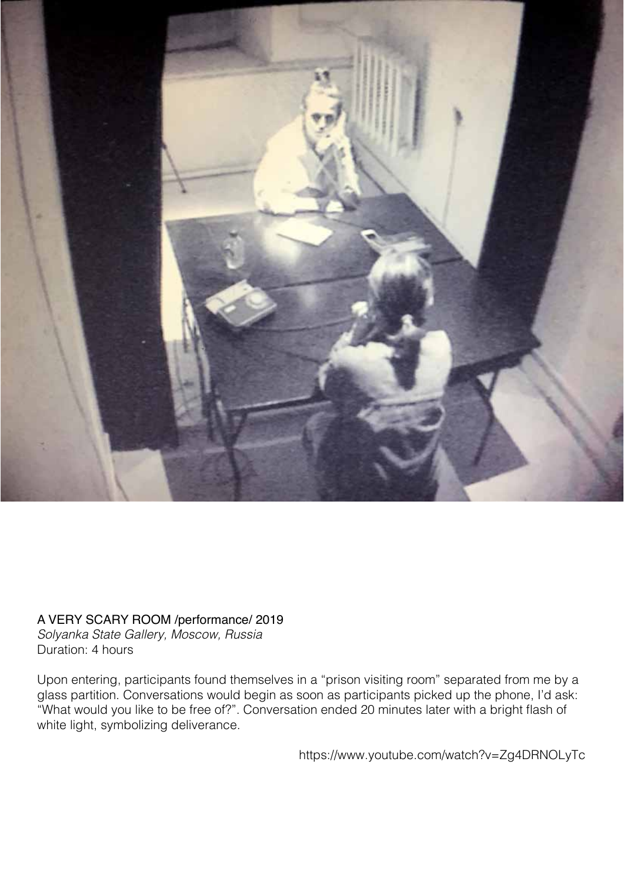

## A VERY SCARY ROOM /performance/ 2019

*Solyanka State Gallery, Moscow, Russia* Duration: 4 hours

Upon entering, participants found themselves in a "prison visiting room" separated from me by a glass partition. Conversations would begin as soon as participants picked up the phone, I'd ask: "What would you like to be free of?". Conversation ended 20 minutes later with a bright flash of white light, symbolizing deliverance.

https://www.youtube.com/watch?v=Zg4DRNOLyTc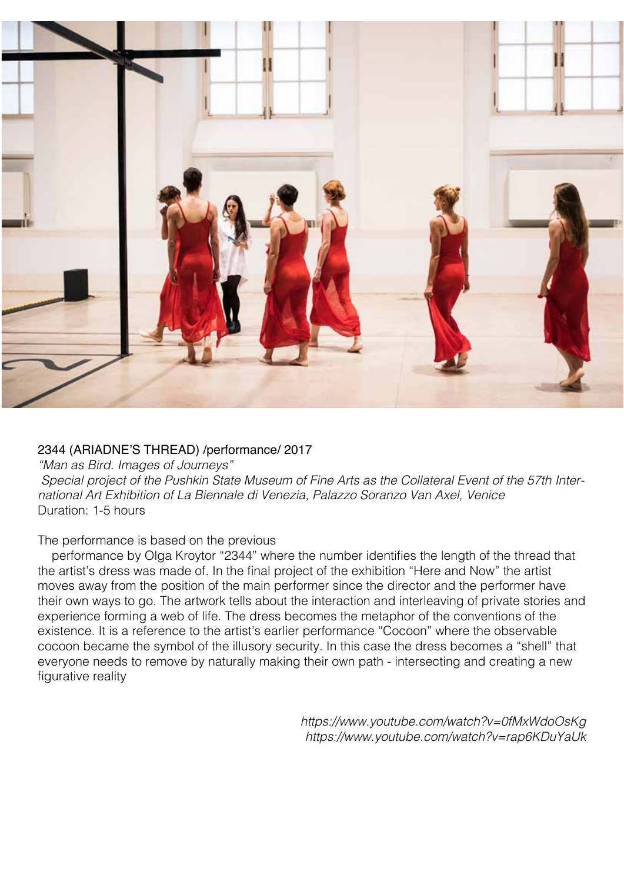

### 2344 (ARIADNE'S THREAD) /performance/ 2017

*"Man as Bird. Images of Journeys" Special project of the Pushkin State Museum of Fine Arts as the Collateral Event of the 57th International Art Exhibition of La Biennale di Venezia, Palazzo Soranzo Van Axel, Venice* Duration: 1-5 hours

#### The performance is based on the previous

 performance by Olga Kroytor "2344" where the number identifies the length of the thread that the artist's dress was made of. In the final project of the exhibition "Here and Now" the artist moves away from the position of the main performer since the director and the performer have their own ways to go. The artwork tells about the interaction and interleaving of private stories and experience forming a web of life. The dress becomes the metaphor of the conventions of the existence. It is a reference to the artist's earlier performance "Cocoon" where the observable cocoon became the symbol of the illusory security. In this case the dress becomes a "shell" that everyone needs to remove by naturally making their own path - intersecting and creating a new figurative reality

> *https://www.youtube.com/watch?v=0fMxWdoOsKg https://www.youtube.com/watch?v=rap6KDuYaUk*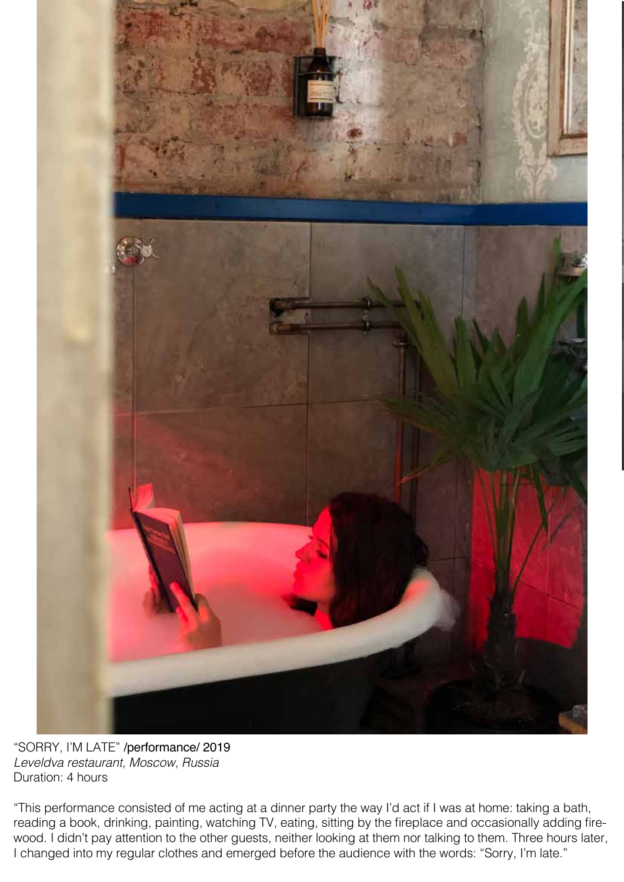

"SORRY, I'M LATE" /performance/ 2019 *Leveldva restaurant, Moscow, Russia* Duration: 4 hours

"This performance consisted of me acting at a dinner party the way I'd act if I was at home: taking a bath, reading a book, drinking, painting, watching TV, eating, sitting by the fireplace and occasionally adding firewood. I didn't pay attention to the other guests, neither looking at them nor talking to them. Three hours later, I changed into my regular clothes and emerged before the audience with the words: "Sorry, I'm late."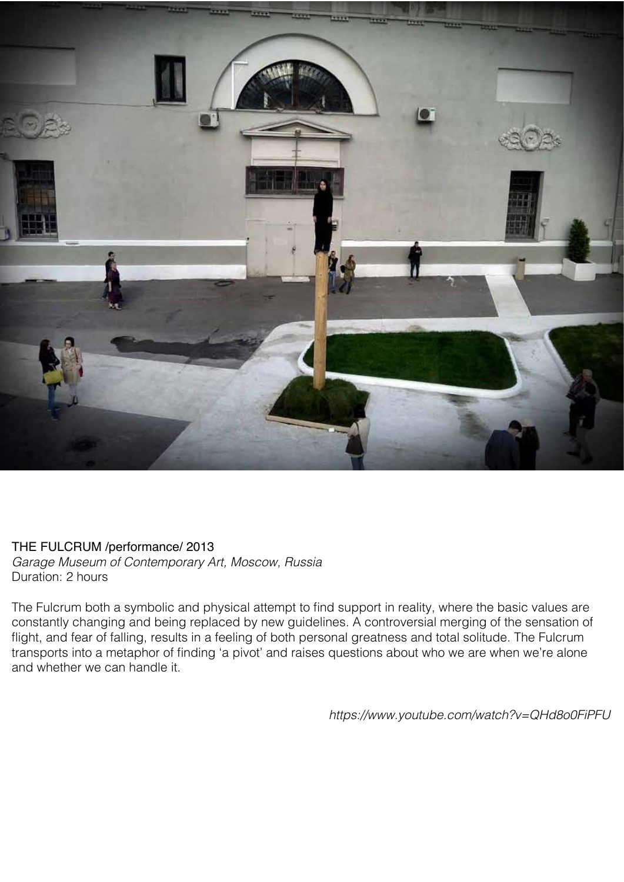

### THE FULCRUM /performance/ 2013

*Garage Museum of Contemporary Art, Moscow, Russia* Duration: 2 hours

The Fulcrum both a symbolic and physical attempt to find support in reality, where the basic values are constantly changing and being replaced by new guidelines. A controversial merging of the sensation of flight, and fear of falling, results in a feeling of both personal greatness and total solitude. The Fulcrum transports into a metaphor of finding 'a pivot' and raises questions about who we are when we're alone and whether we can handle it.

*https://www.youtube.com/watch?v=QHd8o0FiPFU*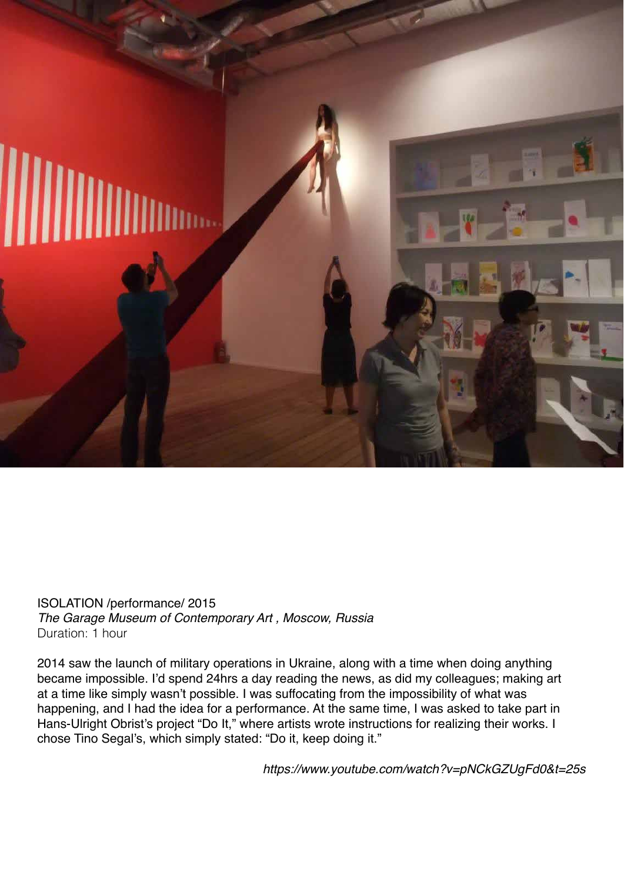

ISOLATION /performance/ 2015 *The Garage Museum of Contemporary Art , Moscow, Russia* Duration: 1 hour

2014 saw the launch of military operations in Ukraine, along with a time when doing anything became impossible. I'd spend 24hrs a day reading the news, as did my colleagues; making art at a time like simply wasn't possible. I was suffocating from the impossibility of what was happening, and I had the idea for a performance. At the same time, I was asked to take part in Hans-Ulright Obrist's project "Do It," where artists wrote instructions for realizing their works. I chose Tino Segal's, which simply stated: "Do it, keep doing it."

*https://www.youtube.com/watch?v=pNCkGZUgFd0&t=25s*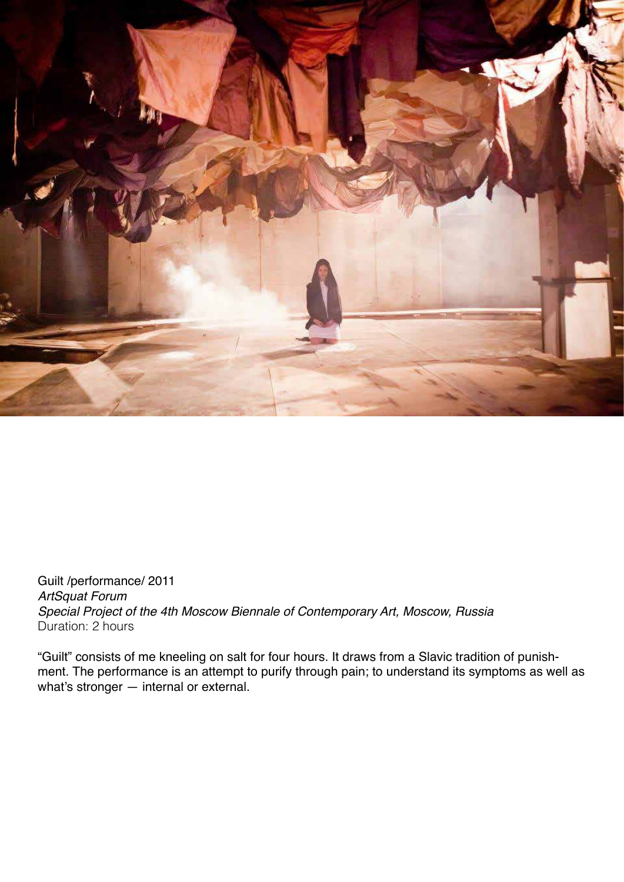

Guilt /performance/ 2011 *ArtSquat Forum Special Project of the 4th Moscow Biennale of Contemporary Art, Moscow, Russia* Duration: 2 hours

"Guilt" consists of me kneeling on salt for four hours. It draws from a Slavic tradition of punishment. The performance is an attempt to purify through pain; to understand its symptoms as well as what's stronger — internal or external.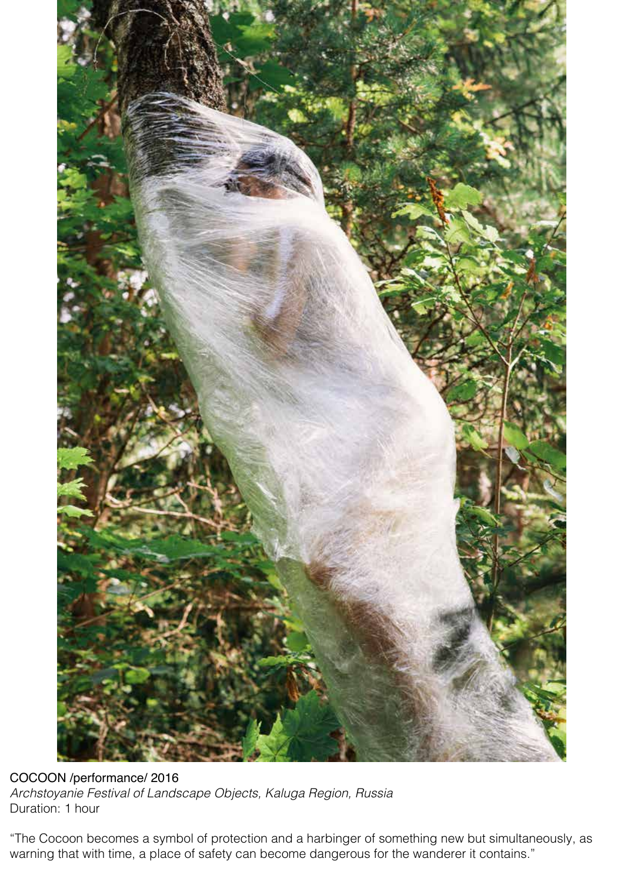

COCOON /performance/ 2016 *Archstoyanie Festival of Landscape Objects, Kaluga Region, Russia* Duration: 1 hour

"The Cocoon becomes a symbol of protection and a harbinger of something new but simultaneously, as warning that with time, a place of safety can become dangerous for the wanderer it contains."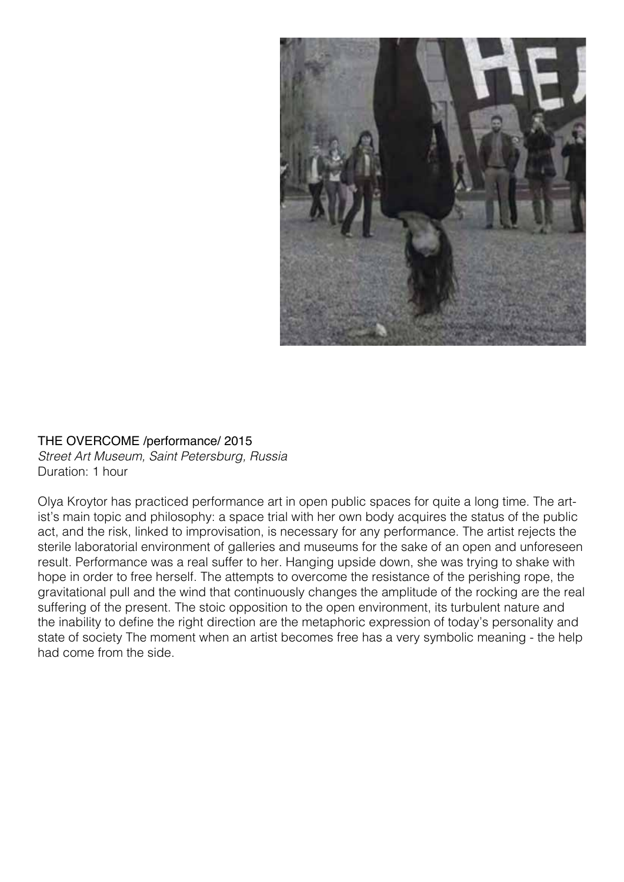

#### THE OVERCOME /performance/ 2015

*Street Art Museum, Saint Petersburg, Russia* Duration: 1 hour

Olya Kroytor has practiced performance art in open public spaces for quite a long time. The artist's main topic and philosophy: a space trial with her own body acquires the status of the public act, and the risk, linked to improvisation, is necessary for any performance. The artist rejects the sterile laboratorial environment of galleries and museums for the sake of an open and unforeseen result. Performance was a real suffer to her. Hanging upside down, she was trying to shake with hope in order to free herself. The attempts to overcome the resistance of the perishing rope, the gravitational pull and the wind that continuously changes the amplitude of the rocking are the real suffering of the present. The stoic opposition to the open environment, its turbulent nature and the inability to define the right direction are the metaphoric expression of today's personality and state of society The moment when an artist becomes free has a very symbolic meaning - the help had come from the side.